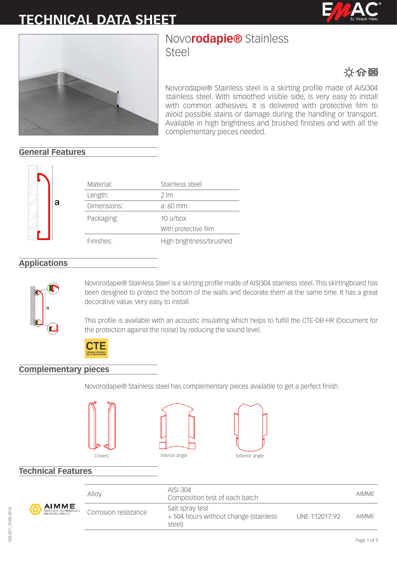# **TECHNICAL DATA SHEET**





# Novo**rodapie®** Stainless

Steel



Novorodapie® Stainless steel is a skirting profile made of AISI304 stainless steel. With smoothed visible side, is very easy to install with common adhesives. It is delivered with protective film to avoid possible stains or damage during the handling or transport. Available in high brightness and brushed finishes and with all the complementary pieces needed.

## **General Features**



| Material:   | Stainless steel                    |
|-------------|------------------------------------|
| Length:     | $2 \, \text{Im}$                   |
| Dimensions: | a: 60 mm                           |
| Packaging:  | 10 u / box<br>With protective film |
| Finishes:   | High brightness/brushed            |

### **Applications**



Novorodapie® Stainless Steel is a skirting profile made of AISI304 stainless steel. This skirtingboard has been designed to protect the bottom of the walls and decorate them at the same time. It has a great decorative value. Very easy to install.

This profile is available with an acoustic insulating which helps to fulfill the CTE-DB-HR (Document for the protection against the noise) by reducing the sound level.



### **Complementary pieces**

Novorodapie® Stainless steel has complementary pieces available to get a perfect finish.







### **Technical Features**



| OGICO | Alloy                | AISI-304<br>Composition test of each batch                        |               | <b>AIMME</b> |
|-------|----------------------|-------------------------------------------------------------------|---------------|--------------|
|       | Corrosion resistance | Salt spray test<br>+504 hours without change (stainless<br>steel) | UNF 112017:92 | <b>AIMME</b> |
|       |                      |                                                                   |               |              |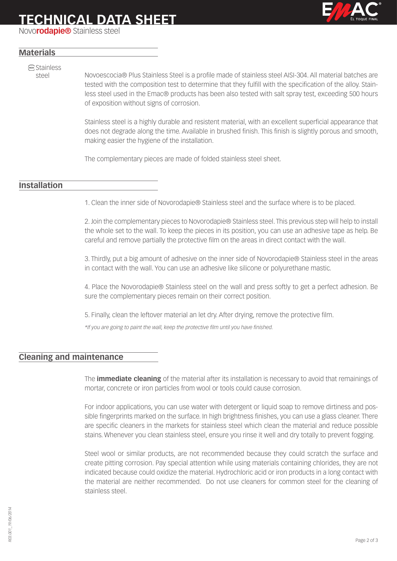# **TECHNICAL DATA SHEET**

Novo**rodapie®** Stainless steel

### **Materials**

**MOX** Stainless

steel Novoescocia® Plus Stainless Steel is a profile made of stainless steel AISI-304. All material batches are tested with the composition test to determine that they fulfill with the specification of the alloy. Stainless steel used in the Emac® products has been also tested with salt spray test, exceeding 500 hours of exposition without signs of corrosion.

> Stainless steel is a highly durable and resistent material, with an excellent superficial appearance that does not degrade along the time. Available in brushed finish. This finish is slightly porous and smooth, making easier the hygiene of the installation.

The complementary pieces are made of folded stainless steel sheet.

#### **Installation**

1. Clean the inner side of Novorodapie® Stainless steel and the surface where is to be placed.

2. Join the complementary pieces to Novorodapie® Stainless steel. This previous step will help to install the whole set to the wall. To keep the pieces in its position, you can use an adhesive tape as help. Be careful and remove partially the protective film on the areas in direct contact with the wall.

3. Thirdly, put a big amount of adhesive on the inner side of Novorodapie® Stainless steel in the areas in contact with the wall. You can use an adhesive like silicone or polyurethane mastic.

4. Place the Novorodapie® Stainless steel on the wall and press softly to get a perfect adhesion. Be sure the complementary pieces remain on their correct position.

5. Finally, clean the leftover material an let dry. After drying, remove the protective film.

*\*If you are going to paint the wall, keep the protective film until you have finished.* 

### **Cleaning and maintenance**

The **immediate cleaning** of the material after its installation is necessary to avoid that remainings of mortar, concrete or iron particles from wool or tools could cause corrosion.

For indoor applications, you can use water with detergent or liquid soap to remove dirtiness and possible fingerprints marked on the surface. In high brightness finishes, you can use a glass cleaner. There are specific cleaners in the markets for stainless steel which clean the material and reduce possible stains. Whenever you clean stainless steel, ensure you rinse it well and dry totally to prevent fogging.

Steel wool or similar products, are not recommended because they could scratch the surface and create pitting corrosion. Pay special attention while using materials containing chlorides, they are not indicated because could oxidize the material. Hydrochloric acid or iron products in a long contact with the material are neither recommended. Do not use cleaners for common steel for the cleaning of stainless steel.